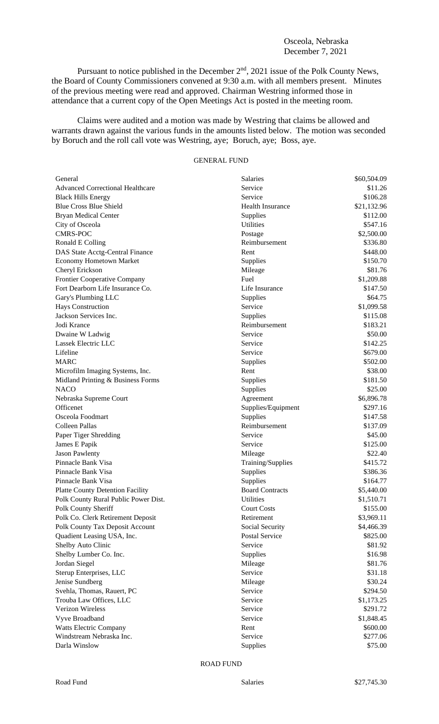## Osceola, Nebraska December 7, 2021

Pursuant to notice published in the December 2<sup>nd</sup>, 2021 issue of the Polk County News, the Board of County Commissioners convened at 9:30 a.m. with all members present. Minutes of the previous meeting were read and approved. Chairman Westring informed those in attendance that a current copy of the Open Meetings Act is posted in the meeting room.

Claims were audited and a motion was made by Westring that claims be allowed and warrants drawn against the various funds in the amounts listed below. The motion was seconded by Boruch and the roll call vote was Westring, aye; Boruch, aye; Boss, aye.

## GENERAL FUND

| General                                 | Salaries                | \$60,504.09 |
|-----------------------------------------|-------------------------|-------------|
| <b>Advanced Correctional Healthcare</b> | Service                 | \$11.26     |
| <b>Black Hills Energy</b>               | Service                 | \$106.28    |
| <b>Blue Cross Blue Shield</b>           | <b>Health Insurance</b> | \$21,132.96 |
| <b>Bryan Medical Center</b>             | Supplies                | \$112.00    |
| City of Osceola                         | <b>Utilities</b>        | \$547.16    |
| <b>CMRS-POC</b>                         | Postage                 | \$2,500.00  |
| Ronald E Colling                        | Reimbursement           | \$336.80    |
| DAS State Acctg-Central Finance         | Rent                    | \$448.00    |
| Economy Hometown Market                 | Supplies                | \$150.70    |
| Cheryl Erickson                         | Mileage                 | \$81.76     |
| <b>Frontier Cooperative Company</b>     | Fuel                    | \$1,209.88  |
| Fort Dearborn Life Insurance Co.        | Life Insurance          | \$147.50    |
| Gary's Plumbing LLC                     | Supplies                | \$64.75     |
| Hays Construction                       | Service                 | \$1,099.58  |
| Jackson Services Inc.                   | Supplies                | \$115.08    |
| Jodi Krance                             | Reimbursement           | \$183.21    |
| Dwaine W Ladwig                         | Service                 | \$50.00     |
| Lassek Electric LLC                     | Service                 | \$142.25    |
| Lifeline                                | Service                 | \$679.00    |
| <b>MARC</b>                             | Supplies                | \$502.00    |
| Microfilm Imaging Systems, Inc.         | Rent                    | \$38.00     |
| Midland Printing & Business Forms       | Supplies                | \$181.50    |
| <b>NACO</b>                             | Supplies                | \$25.00     |
| Nebraska Supreme Court                  | Agreement               | \$6,896.78  |
| Officenet                               | Supplies/Equipment      | \$297.16    |
| Osceola Foodmart                        | Supplies                | \$147.58    |
| Colleen Pallas                          | Reimbursement           | \$137.09    |
| Paper Tiger Shredding                   | Service                 | \$45.00     |
| James E Papik                           | Service                 | \$125.00    |
| <b>Jason Pawlenty</b>                   | Mileage                 | \$22.40     |
| Pinnacle Bank Visa                      | Training/Supplies       | \$415.72    |
| Pinnacle Bank Visa                      | Supplies                | \$386.36    |
| Pinnacle Bank Visa                      | Supplies                | \$164.77    |
| <b>Platte County Detention Facility</b> | <b>Board Contracts</b>  | \$5,440.00  |
| Polk County Rural Public Power Dist.    | Utilities               | \$1,510.71  |
| Polk County Sheriff                     | <b>Court Costs</b>      | \$155.00    |
| Polk Co. Clerk Retirement Deposit       | Retirement              | \$3,969.11  |
| Polk County Tax Deposit Account         | Social Security         | \$4,466.39  |
| Quadient Leasing USA, Inc.              | <b>Postal Service</b>   | \$825.00    |
| Shelby Auto Clinic                      | Service                 | \$81.92     |
| Shelby Lumber Co. Inc.                  | Supplies                | \$16.98     |
| Jordan Siegel                           | Mileage                 | \$81.76     |
| Sterup Enterprises, LLC                 | Service                 | \$31.18     |
| Jenise Sundberg                         | Mileage                 | \$30.24     |
| Svehla, Thomas, Rauert, PC              | Service                 | \$294.50    |
| Trouba Law Offices, LLC                 | Service                 | \$1,173.25  |
| Verizon Wireless                        | Service                 | \$291.72    |
| Vyve Broadband                          | Service                 | \$1,848.45  |
| <b>Watts Electric Company</b>           | Rent                    | \$600.00    |
| Windstream Nebraska Inc.                | Service                 | \$277.06    |
| Darla Winslow                           | Supplies                | \$75.00     |
|                                         |                         |             |

ROAD FUND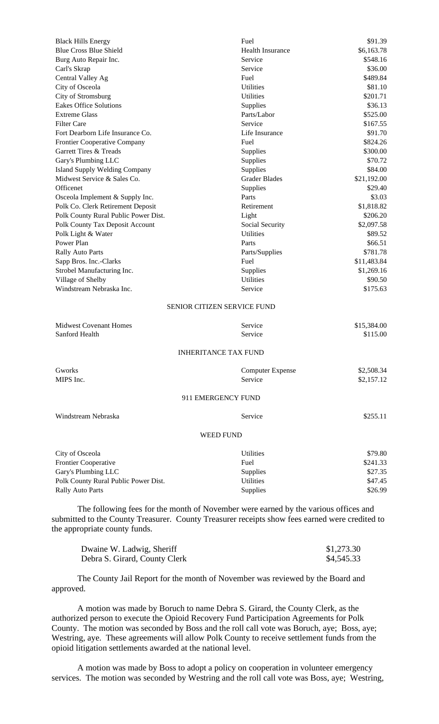| <b>Black Hills Energy</b>                                                                                                                                                             | Fuel                        | \$91.39             |
|---------------------------------------------------------------------------------------------------------------------------------------------------------------------------------------|-----------------------------|---------------------|
| <b>Blue Cross Blue Shield</b>                                                                                                                                                         | <b>Health Insurance</b>     | \$6,163.78          |
| Burg Auto Repair Inc.                                                                                                                                                                 | Service                     | \$548.16            |
| Carl's Skrap                                                                                                                                                                          | Service                     | \$36.00             |
| Central Valley Ag                                                                                                                                                                     | Fuel                        | \$489.84            |
| City of Osceola                                                                                                                                                                       | <b>Utilities</b>            | \$81.10             |
| City of Stromsburg                                                                                                                                                                    | <b>Utilities</b>            | \$201.71            |
| Eakes Office Solutions                                                                                                                                                                | Supplies                    | \$36.13             |
| <b>Extreme Glass</b>                                                                                                                                                                  | Parts/Labor                 | \$525.00            |
| <b>Filter Care</b>                                                                                                                                                                    | Service                     | \$167.55            |
| Fort Dearborn Life Insurance Co.                                                                                                                                                      | Life Insurance              | \$91.70             |
| <b>Frontier Cooperative Company</b>                                                                                                                                                   | Fuel                        | \$824.26            |
| Garrett Tires & Treads                                                                                                                                                                | Supplies                    | \$300.00            |
| Gary's Plumbing LLC                                                                                                                                                                   | Supplies                    | \$70.72             |
| <b>Island Supply Welding Company</b>                                                                                                                                                  | Supplies                    | \$84.00             |
| Midwest Service & Sales Co.                                                                                                                                                           | <b>Grader Blades</b>        | \$21,192.00         |
| Officenet                                                                                                                                                                             | Supplies                    | \$29.40             |
| Osceola Implement & Supply Inc.                                                                                                                                                       | Parts                       | \$3.03              |
| Polk Co. Clerk Retirement Deposit                                                                                                                                                     | Retirement                  | \$1,818.82          |
| Polk County Rural Public Power Dist.                                                                                                                                                  | Light                       | \$206.20            |
| Polk County Tax Deposit Account                                                                                                                                                       | Social Security             | \$2,097.58          |
| Polk Light & Water                                                                                                                                                                    | Utilities                   | \$89.52             |
| Power Plan                                                                                                                                                                            | Parts                       | \$66.51             |
| <b>Rally Auto Parts</b>                                                                                                                                                               | Parts/Supplies              | \$781.78            |
| Sapp Bros. Inc.-Clarks                                                                                                                                                                | Fuel                        | \$11,483.84         |
| Strobel Manufacturing Inc.                                                                                                                                                            | Supplies                    | \$1,269.16          |
| Village of Shelby                                                                                                                                                                     | <b>Utilities</b>            | \$90.50             |
| Windstream Nebraska Inc.                                                                                                                                                              | Service                     | \$175.63            |
|                                                                                                                                                                                       | SENIOR CITIZEN SERVICE FUND |                     |
|                                                                                                                                                                                       |                             |                     |
| <b>Midwest Covenant Homes</b>                                                                                                                                                         | Service                     | \$15,384.00         |
| Sanford Health                                                                                                                                                                        | Service                     | \$115.00            |
|                                                                                                                                                                                       | <b>INHERITANCE TAX FUND</b> |                     |
| Gworks                                                                                                                                                                                | <b>Computer Expense</b>     | \$2,508.34          |
| MIPS Inc.                                                                                                                                                                             | Service                     | \$2,157.12          |
|                                                                                                                                                                                       |                             |                     |
|                                                                                                                                                                                       | 911 EMERGENCY FUND          |                     |
| Windstream Nebraska                                                                                                                                                                   | Service                     | \$255.11            |
|                                                                                                                                                                                       | <b>WEED FUND</b>            |                     |
|                                                                                                                                                                                       |                             |                     |
| City of Osceola                                                                                                                                                                       | <b>Utilities</b><br>Fuel    | \$79.80<br>\$241.33 |
| Frontier Cooperative<br>Gary's Plumbing LLC                                                                                                                                           |                             | \$27.35             |
|                                                                                                                                                                                       | Supplies                    |                     |
| Polk County Rural Public Power Dist.                                                                                                                                                  | Utilities                   | \$47.45             |
| <b>Rally Auto Parts</b>                                                                                                                                                               | Supplies                    | \$26.99             |
| The following fees for the month of November were earned by the various offices and<br>submitted to the County Treasurer. County Treasurer receipts show fees earned were credited to |                             |                     |

the appropriate county funds.

| Dwaine W. Ladwig, Sheriff     | \$1,273.30 |
|-------------------------------|------------|
| Debra S. Girard, County Clerk | \$4,545.33 |

The County Jail Report for the month of November was reviewed by the Board and approved.

A motion was made by Boruch to name Debra S. Girard, the County Clerk, as the authorized person to execute the Opioid Recovery Fund Participation Agreements for Polk County. The motion was seconded by Boss and the roll call vote was Boruch, aye; Boss, aye; Westring, aye. These agreements will allow Polk County to receive settlement funds from the opioid litigation settlements awarded at the national level.

A motion was made by Boss to adopt a policy on cooperation in volunteer emergency services. The motion was seconded by Westring and the roll call vote was Boss, aye; Westring,